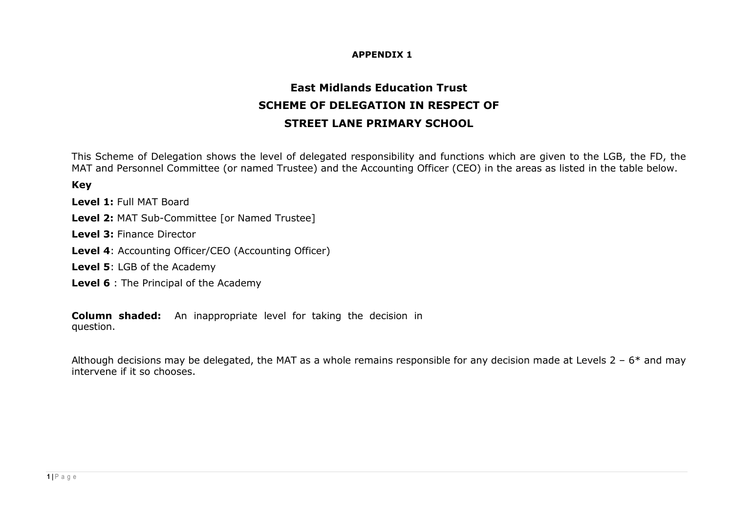## **APPENDIX 1**

## **East Midlands Education Trust SCHEME OF DELEGATION IN RESPECT OF STREET LANE PRIMARY SCHOOL**

This Scheme of Delegation shows the level of delegated responsibility and functions which are given to the LGB, the FD, the MAT and Personnel Committee (or named Trustee) and the Accounting Officer (CEO) in the areas as listed in the table below.

**Key** 

**Level 1:** Full MAT Board

**Level 2:** MAT Sub-Committee [or Named Trustee]

**Level 3:** Finance Director

**Level 4**: Accounting Officer/CEO (Accounting Officer)

**Level 5**: LGB of the Academy

**Level 6** : The Principal of the Academy

**Column shaded:** An inappropriate level for taking the decision in question.

Although decisions may be delegated, the MAT as a whole remains responsible for any decision made at Levels  $2 - 6*$  and may intervene if it so chooses.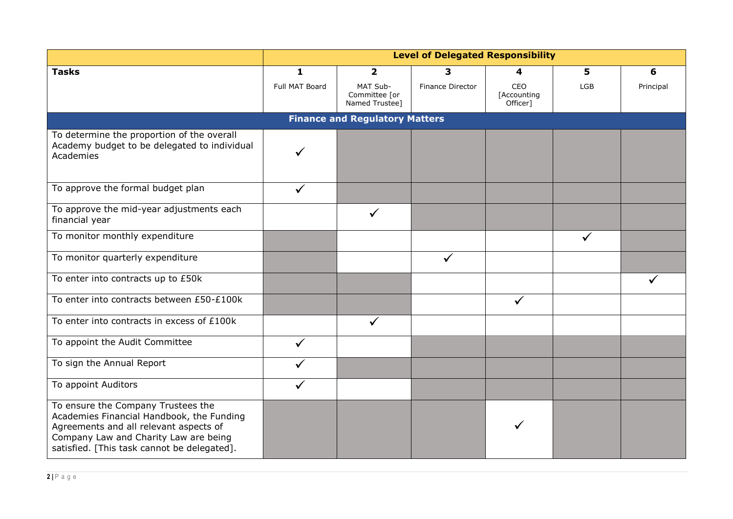|                                                                                                                                                                                                                   | <b>Level of Delegated Responsibility</b> |                                             |                  |                                |            |           |
|-------------------------------------------------------------------------------------------------------------------------------------------------------------------------------------------------------------------|------------------------------------------|---------------------------------------------|------------------|--------------------------------|------------|-----------|
| <b>Tasks</b>                                                                                                                                                                                                      | 1                                        | $\overline{2}$                              | 3                | 4                              | 5          | 6         |
|                                                                                                                                                                                                                   | Full MAT Board                           | MAT Sub-<br>Committee [or<br>Named Trustee] | Finance Director | CEO<br>[Accounting<br>Officer] | <b>LGB</b> | Principal |
|                                                                                                                                                                                                                   |                                          | <b>Finance and Regulatory Matters</b>       |                  |                                |            |           |
| To determine the proportion of the overall<br>Academy budget to be delegated to individual<br>Academies                                                                                                           |                                          |                                             |                  |                                |            |           |
| To approve the formal budget plan                                                                                                                                                                                 | $\checkmark$                             |                                             |                  |                                |            |           |
| To approve the mid-year adjustments each<br>financial year                                                                                                                                                        |                                          | $\checkmark$                                |                  |                                |            |           |
| To monitor monthly expenditure                                                                                                                                                                                    |                                          |                                             |                  |                                |            |           |
| To monitor quarterly expenditure                                                                                                                                                                                  |                                          |                                             | ✓                |                                |            |           |
| To enter into contracts up to £50k                                                                                                                                                                                |                                          |                                             |                  |                                |            |           |
| To enter into contracts between £50-£100k                                                                                                                                                                         |                                          |                                             |                  | $\checkmark$                   |            |           |
| To enter into contracts in excess of £100k                                                                                                                                                                        |                                          | $\checkmark$                                |                  |                                |            |           |
| To appoint the Audit Committee                                                                                                                                                                                    | $\checkmark$                             |                                             |                  |                                |            |           |
| To sign the Annual Report                                                                                                                                                                                         |                                          |                                             |                  |                                |            |           |
| To appoint Auditors                                                                                                                                                                                               | ✓                                        |                                             |                  |                                |            |           |
| To ensure the Company Trustees the<br>Academies Financial Handbook, the Funding<br>Agreements and all relevant aspects of<br>Company Law and Charity Law are being<br>satisfied. [This task cannot be delegated]. |                                          |                                             |                  |                                |            |           |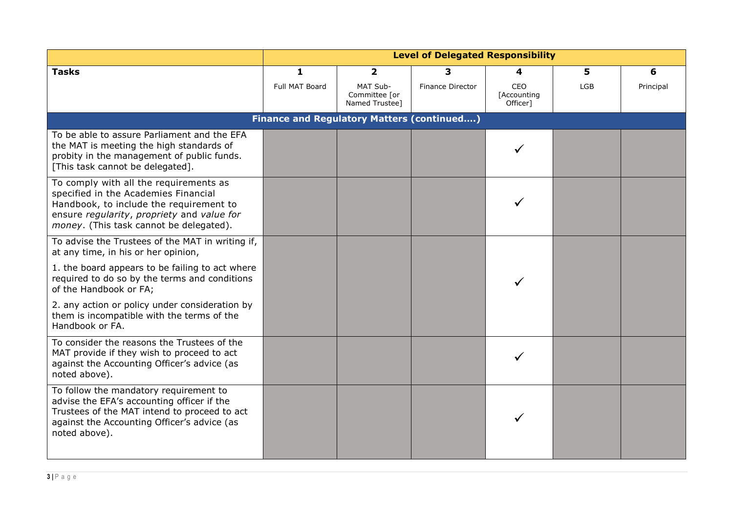|                                                                                                                                                                                                                    | <b>Level of Delegated Responsibility</b> |                                                   |                  |                                |            |           |
|--------------------------------------------------------------------------------------------------------------------------------------------------------------------------------------------------------------------|------------------------------------------|---------------------------------------------------|------------------|--------------------------------|------------|-----------|
| <b>Tasks</b>                                                                                                                                                                                                       | 1                                        | $\overline{2}$                                    | З.               | 4                              | 5          | 6         |
|                                                                                                                                                                                                                    | Full MAT Board                           | MAT Sub-<br>Committee [or<br>Named Trustee]       | Finance Director | CEO<br>[Accounting<br>Officer] | <b>LGB</b> | Principal |
|                                                                                                                                                                                                                    |                                          | <b>Finance and Regulatory Matters (continued)</b> |                  |                                |            |           |
| To be able to assure Parliament and the EFA<br>the MAT is meeting the high standards of<br>probity in the management of public funds.<br>[This task cannot be delegated].                                          |                                          |                                                   |                  |                                |            |           |
| To comply with all the requirements as<br>specified in the Academies Financial<br>Handbook, to include the requirement to<br>ensure regularity, propriety and value for<br>money. (This task cannot be delegated). |                                          |                                                   |                  |                                |            |           |
| To advise the Trustees of the MAT in writing if,<br>at any time, in his or her opinion,                                                                                                                            |                                          |                                                   |                  |                                |            |           |
| 1. the board appears to be failing to act where<br>required to do so by the terms and conditions<br>of the Handbook or FA;                                                                                         |                                          |                                                   |                  |                                |            |           |
| 2. any action or policy under consideration by<br>them is incompatible with the terms of the<br>Handbook or FA.                                                                                                    |                                          |                                                   |                  |                                |            |           |
| To consider the reasons the Trustees of the<br>MAT provide if they wish to proceed to act<br>against the Accounting Officer's advice (as<br>noted above).                                                          |                                          |                                                   |                  |                                |            |           |
| To follow the mandatory requirement to<br>advise the EFA's accounting officer if the<br>Trustees of the MAT intend to proceed to act<br>against the Accounting Officer's advice (as<br>noted above).               |                                          |                                                   |                  |                                |            |           |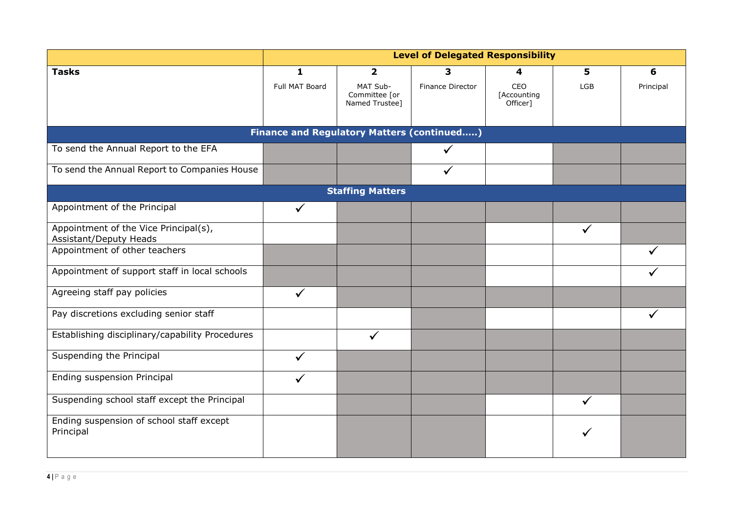|                                                                        | <b>Level of Delegated Responsibility</b> |                                             |                  |                                |              |           |  |  |
|------------------------------------------------------------------------|------------------------------------------|---------------------------------------------|------------------|--------------------------------|--------------|-----------|--|--|
| <b>Tasks</b>                                                           | 1                                        | $\overline{\mathbf{2}}$                     | 3                | 4                              | 5            | 6         |  |  |
|                                                                        | Full MAT Board                           | MAT Sub-<br>Committee [or<br>Named Trustee] | Finance Director | CEO<br>[Accounting<br>Officer] | LGB          | Principal |  |  |
| <b>Finance and Regulatory Matters (continued)</b>                      |                                          |                                             |                  |                                |              |           |  |  |
| To send the Annual Report to the EFA                                   |                                          |                                             | $\checkmark$     |                                |              |           |  |  |
| To send the Annual Report to Companies House                           |                                          |                                             |                  |                                |              |           |  |  |
|                                                                        |                                          | <b>Staffing Matters</b>                     |                  |                                |              |           |  |  |
| Appointment of the Principal                                           | $\checkmark$                             |                                             |                  |                                |              |           |  |  |
| Appointment of the Vice Principal(s),<br><b>Assistant/Deputy Heads</b> |                                          |                                             |                  |                                |              |           |  |  |
| Appointment of other teachers                                          |                                          |                                             |                  |                                |              |           |  |  |
| Appointment of support staff in local schools                          |                                          |                                             |                  |                                |              |           |  |  |
| Agreeing staff pay policies                                            | ✓                                        |                                             |                  |                                |              |           |  |  |
| Pay discretions excluding senior staff                                 |                                          |                                             |                  |                                |              | ✓         |  |  |
| Establishing disciplinary/capability Procedures                        |                                          | $\checkmark$                                |                  |                                |              |           |  |  |
| Suspending the Principal                                               |                                          |                                             |                  |                                |              |           |  |  |
| Ending suspension Principal                                            |                                          |                                             |                  |                                |              |           |  |  |
| Suspending school staff except the Principal                           |                                          |                                             |                  |                                | $\checkmark$ |           |  |  |
| Ending suspension of school staff except<br>Principal                  |                                          |                                             |                  |                                |              |           |  |  |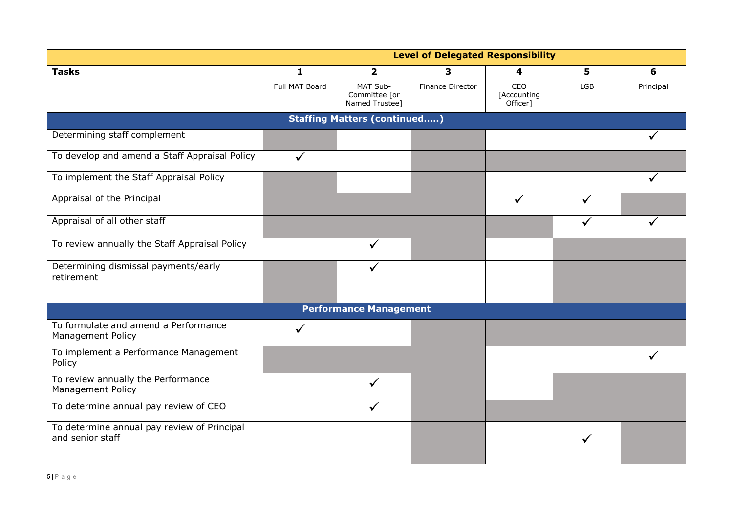|                                                                  | <b>Level of Delegated Responsibility</b> |                                             |                  |                                |            |           |  |  |  |
|------------------------------------------------------------------|------------------------------------------|---------------------------------------------|------------------|--------------------------------|------------|-----------|--|--|--|
| <b>Tasks</b>                                                     | $\mathbf{1}$                             | $\overline{\mathbf{2}}$                     | 3                | 4                              | 5          | 6         |  |  |  |
|                                                                  | Full MAT Board                           | MAT Sub-<br>Committee [or<br>Named Trustee] | Finance Director | CEO<br>[Accounting<br>Officer] | <b>LGB</b> | Principal |  |  |  |
|                                                                  | <b>Staffing Matters (continued)</b>      |                                             |                  |                                |            |           |  |  |  |
| Determining staff complement                                     |                                          |                                             |                  |                                |            |           |  |  |  |
| To develop and amend a Staff Appraisal Policy                    | $\checkmark$                             |                                             |                  |                                |            |           |  |  |  |
| To implement the Staff Appraisal Policy                          |                                          |                                             |                  |                                |            |           |  |  |  |
| Appraisal of the Principal                                       |                                          |                                             |                  | $\checkmark$                   |            |           |  |  |  |
| Appraisal of all other staff                                     |                                          |                                             |                  |                                |            |           |  |  |  |
| To review annually the Staff Appraisal Policy                    |                                          |                                             |                  |                                |            |           |  |  |  |
| Determining dismissal payments/early<br>retirement               |                                          |                                             |                  |                                |            |           |  |  |  |
|                                                                  |                                          | <b>Performance Management</b>               |                  |                                |            |           |  |  |  |
| To formulate and amend a Performance<br><b>Management Policy</b> | ✓                                        |                                             |                  |                                |            |           |  |  |  |
| To implement a Performance Management<br>Policy                  |                                          |                                             |                  |                                |            |           |  |  |  |
| To review annually the Performance<br><b>Management Policy</b>   |                                          | $\checkmark$                                |                  |                                |            |           |  |  |  |
| To determine annual pay review of CEO                            |                                          |                                             |                  |                                |            |           |  |  |  |
| To determine annual pay review of Principal<br>and senior staff  |                                          |                                             |                  |                                |            |           |  |  |  |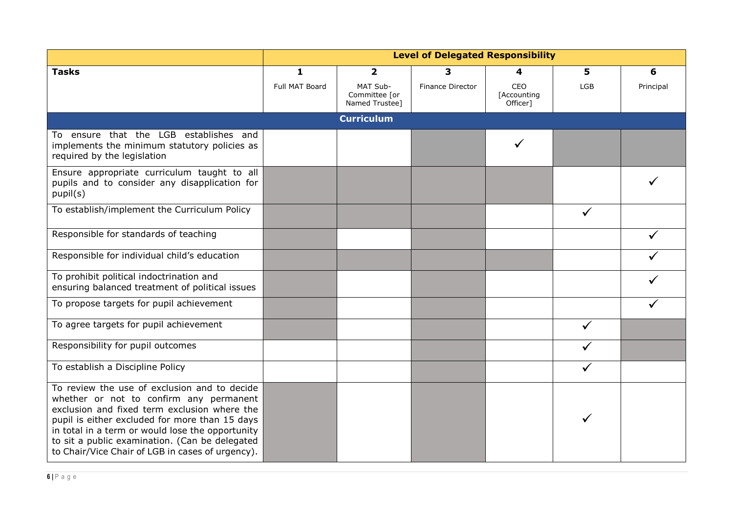|                                                                                                                                                                                                                                                                                                                                                     | <b>Level of Delegated Responsibility</b> |                                             |                  |                                |              |           |
|-----------------------------------------------------------------------------------------------------------------------------------------------------------------------------------------------------------------------------------------------------------------------------------------------------------------------------------------------------|------------------------------------------|---------------------------------------------|------------------|--------------------------------|--------------|-----------|
| <b>Tasks</b>                                                                                                                                                                                                                                                                                                                                        | 1                                        | $\overline{\mathbf{2}}$                     | 3                | 4                              | 5            | 6         |
|                                                                                                                                                                                                                                                                                                                                                     | Full MAT Board                           | MAT Sub-<br>Committee [or<br>Named Trustee] | Finance Director | CEO<br>[Accounting<br>Officer] | LGB          | Principal |
|                                                                                                                                                                                                                                                                                                                                                     |                                          | <b>Curriculum</b>                           |                  |                                |              |           |
| To ensure that the LGB establishes and<br>implements the minimum statutory policies as<br>required by the legislation                                                                                                                                                                                                                               |                                          |                                             |                  |                                |              |           |
| Ensure appropriate curriculum taught to all<br>pupils and to consider any disapplication for<br>pupil(s)                                                                                                                                                                                                                                            |                                          |                                             |                  |                                |              |           |
| To establish/implement the Curriculum Policy                                                                                                                                                                                                                                                                                                        |                                          |                                             |                  |                                | $\checkmark$ |           |
| Responsible for standards of teaching                                                                                                                                                                                                                                                                                                               |                                          |                                             |                  |                                |              |           |
| Responsible for individual child's education                                                                                                                                                                                                                                                                                                        |                                          |                                             |                  |                                |              |           |
| To prohibit political indoctrination and<br>ensuring balanced treatment of political issues                                                                                                                                                                                                                                                         |                                          |                                             |                  |                                |              |           |
| To propose targets for pupil achievement                                                                                                                                                                                                                                                                                                            |                                          |                                             |                  |                                |              |           |
| To agree targets for pupil achievement                                                                                                                                                                                                                                                                                                              |                                          |                                             |                  |                                |              |           |
| Responsibility for pupil outcomes                                                                                                                                                                                                                                                                                                                   |                                          |                                             |                  |                                |              |           |
| To establish a Discipline Policy                                                                                                                                                                                                                                                                                                                    |                                          |                                             |                  |                                | ✓            |           |
| To review the use of exclusion and to decide<br>whether or not to confirm any permanent<br>exclusion and fixed term exclusion where the<br>pupil is either excluded for more than 15 days<br>in total in a term or would lose the opportunity<br>to sit a public examination. (Can be delegated<br>to Chair/Vice Chair of LGB in cases of urgency). |                                          |                                             |                  |                                |              |           |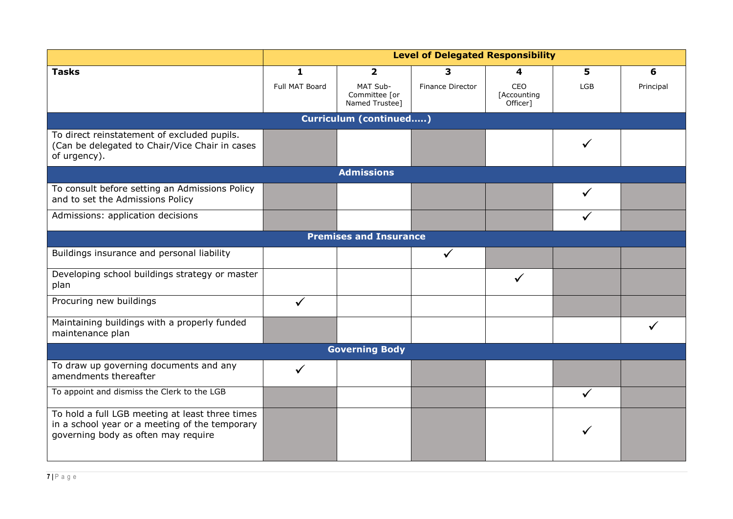|                                                                                                                                          | <b>Level of Delegated Responsibility</b> |                                             |                  |                                |     |           |  |
|------------------------------------------------------------------------------------------------------------------------------------------|------------------------------------------|---------------------------------------------|------------------|--------------------------------|-----|-----------|--|
| <b>Tasks</b>                                                                                                                             | 1                                        | $\overline{\mathbf{2}}$                     | 3                | 4                              | 5   | 6         |  |
|                                                                                                                                          | Full MAT Board                           | MAT Sub-<br>Committee [or<br>Named Trustee] | Finance Director | CEO<br>[Accounting<br>Officer] | LGB | Principal |  |
|                                                                                                                                          |                                          | Curriculum (continued)                      |                  |                                |     |           |  |
| To direct reinstatement of excluded pupils.<br>(Can be delegated to Chair/Vice Chair in cases<br>of urgency).                            |                                          |                                             |                  |                                |     |           |  |
|                                                                                                                                          |                                          | <b>Admissions</b>                           |                  |                                |     |           |  |
| To consult before setting an Admissions Policy<br>and to set the Admissions Policy                                                       |                                          |                                             |                  |                                |     |           |  |
| Admissions: application decisions                                                                                                        |                                          |                                             |                  |                                |     |           |  |
| <b>Premises and Insurance</b>                                                                                                            |                                          |                                             |                  |                                |     |           |  |
| Buildings insurance and personal liability                                                                                               |                                          |                                             |                  |                                |     |           |  |
| Developing school buildings strategy or master<br>plan                                                                                   |                                          |                                             |                  | $\checkmark$                   |     |           |  |
| Procuring new buildings                                                                                                                  | $\checkmark$                             |                                             |                  |                                |     |           |  |
| Maintaining buildings with a properly funded<br>maintenance plan                                                                         |                                          |                                             |                  |                                |     |           |  |
|                                                                                                                                          |                                          | <b>Governing Body</b>                       |                  |                                |     |           |  |
| To draw up governing documents and any<br>amendments thereafter                                                                          | ✓                                        |                                             |                  |                                |     |           |  |
| To appoint and dismiss the Clerk to the LGB                                                                                              |                                          |                                             |                  |                                |     |           |  |
| To hold a full LGB meeting at least three times<br>in a school year or a meeting of the temporary<br>governing body as often may require |                                          |                                             |                  |                                |     |           |  |